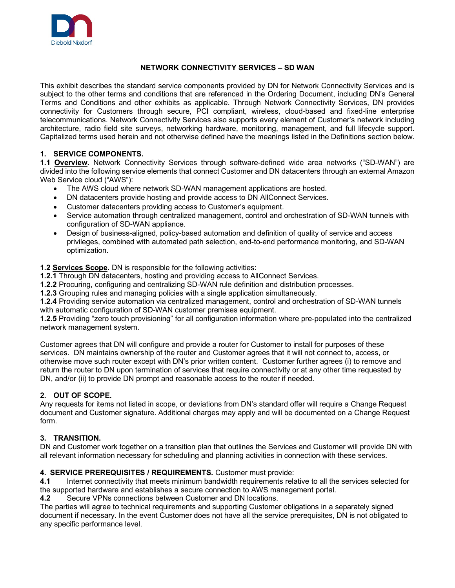

### **NETWORK CONNECTIVITY SERVICES – SD WAN**

This exhibit describes the standard service components provided by DN for Network Connectivity Services and is subject to the other terms and conditions that are referenced in the Ordering Document, including DN's General Terms and Conditions and other exhibits as applicable. Through Network Connectivity Services, DN provides connectivity for Customers through secure, PCI compliant, wireless, cloud-based and fixed-line enterprise telecommunications. Network Connectivity Services also supports every element of Customer's network including architecture, radio field site surveys, networking hardware, monitoring, management, and full lifecycle support. Capitalized terms used herein and not otherwise defined have the meanings listed in the Definitions section below.

## **1. SERVICE COMPONENTS.**

**1.1 Overview.** Network Connectivity Services through software-defined wide area networks ("SD-WAN") are divided into the following service elements that connect Customer and DN datacenters through an external Amazon Web Service cloud ("AWS"):

- The AWS cloud where network SD-WAN management applications are hosted.
- DN datacenters provide hosting and provide access to DN AllConnect Services.
- Customer datacenters providing access to Customer's equipment.
- Service automation through centralized management, control and orchestration of SD-WAN tunnels with configuration of SD-WAN appliance.
- Design of business-aligned, policy-based automation and definition of quality of service and access privileges, combined with automated path selection, end-to-end performance monitoring, and SD-WAN optimization.

**1.2 Services Scope.** DN is responsible for the following activities:

**1.2.1** Through DN datacenters, hosting and providing access to AllConnect Services.

**1.2.2** Procuring, configuring and centralizing SD-WAN rule definition and distribution processes.

**1.2.3** Grouping rules and managing policies with a single application simultaneously.

**1.2.4** Providing service automation via centralized management, control and orchestration of SD-WAN tunnels with automatic configuration of SD-WAN customer premises equipment.

**1.2.5** Providing "zero touch provisioning" for all configuration information where pre-populated into the centralized network management system.

Customer agrees that DN will configure and provide a router for Customer to install for purposes of these services. DN maintains ownership of the router and Customer agrees that it will not connect to, access, or otherwise move such router except with DN's prior written content. Customer further agrees (i) to remove and return the router to DN upon termination of services that require connectivity or at any other time requested by DN, and/or (ii) to provide DN prompt and reasonable access to the router if needed.

### **2. OUT OF SCOPE.**

Any requests for items not listed in scope, or deviations from DN's standard offer will require a Change Request document and Customer signature. Additional charges may apply and will be documented on a Change Request form.

### **3. TRANSITION.**

DN and Customer work together on a transition plan that outlines the Services and Customer will provide DN with all relevant information necessary for scheduling and planning activities in connection with these services.

# **4. SERVICE PREREQUISITES / REQUIREMENTS.** Customer must provide:

**4.1** Internet connectivity that meets minimum bandwidth requirements relative to all the services selected for the supported hardware and establishes a secure connection to AWS management portal.

**4.2** Secure VPNs connections between Customer and DN locations.

The parties will agree to technical requirements and supporting Customer obligations in a separately signed document if necessary. In the event Customer does not have all the service prerequisites, DN is not obligated to any specific performance level.